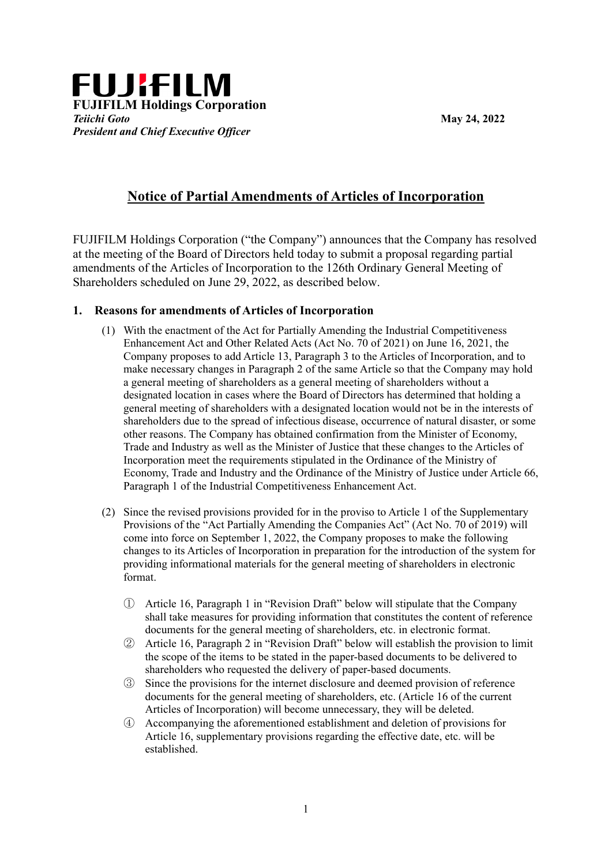

## **Notice of Partial Amendments of Articles of Incorporation**

FUJIFILM Holdings Corporation ("the Company") announces that the Company has resolved at the meeting of the Board of Directors held today to submit a proposal regarding partial amendments of the Articles of Incorporation to the 126th Ordinary General Meeting of Shareholders scheduled on June 29, 2022, as described below.

## **1. Reasons for amendments of Articles of Incorporation**

- (1) With the enactment of the Act for Partially Amending the Industrial Competitiveness Enhancement Act and Other Related Acts (Act No. 70 of 2021) on June 16, 2021, the Company proposes to add Article 13, Paragraph 3 to the Articles of Incorporation, and to make necessary changes in Paragraph 2 of the same Article so that the Company may hold a general meeting of shareholders as a general meeting of shareholders without a designated location in cases where the Board of Directors has determined that holding a general meeting of shareholders with a designated location would not be in the interests of shareholders due to the spread of infectious disease, occurrence of natural disaster, or some other reasons. The Company has obtained confirmation from the Minister of Economy, Trade and Industry as well as the Minister of Justice that these changes to the Articles of Incorporation meet the requirements stipulated in the Ordinance of the Ministry of Economy, Trade and Industry and the Ordinance of the Ministry of Justice under Article 66, Paragraph 1 of the Industrial Competitiveness Enhancement Act.
- (2) Since the revised provisions provided for in the proviso to Article 1 of the Supplementary Provisions of the "Act Partially Amending the Companies Act" (Act No. 70 of 2019) will come into force on September 1, 2022, the Company proposes to make the following changes to its Articles of Incorporation in preparation for the introduction of the system for providing informational materials for the general meeting of shareholders in electronic format.
	- ① Article 16, Paragraph 1 in "Revision Draft" below will stipulate that the Company shall take measures for providing information that constitutes the content of reference documents for the general meeting of shareholders, etc. in electronic format.
	- ② Article 16, Paragraph 2 in "Revision Draft" below will establish the provision to limit the scope of the items to be stated in the paper-based documents to be delivered to shareholders who requested the delivery of paper-based documents.
	- ③ Since the provisions for the internet disclosure and deemed provision of reference documents for the general meeting of shareholders, etc. (Article 16 of the current Articles of Incorporation) will become unnecessary, they will be deleted.
	- ④ Accompanying the aforementioned establishment and deletion of provisions for Article 16, supplementary provisions regarding the effective date, etc. will be established.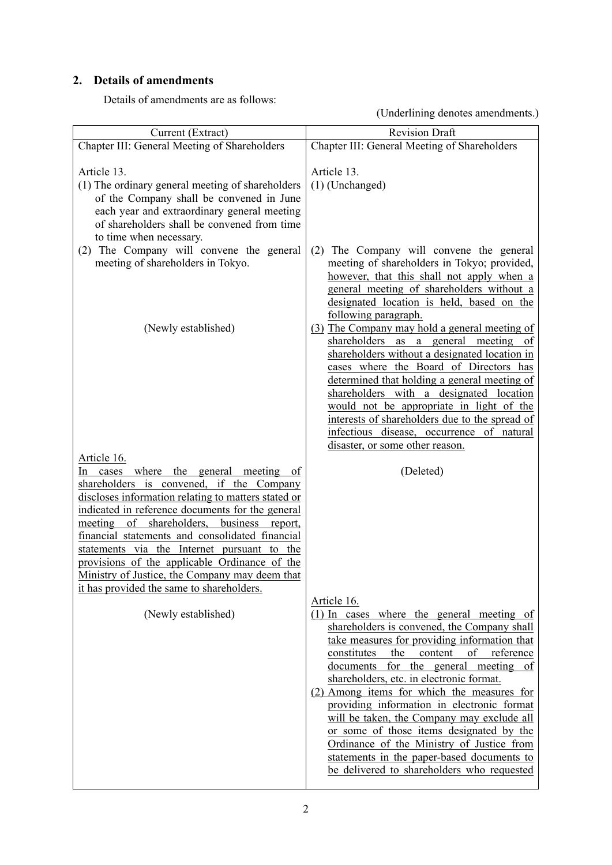## **2. Details of amendments**

Details of amendments are as follows:

(Underlining denotes amendments.)

| Current (Extract)                                                                                                                                                                                                                                                                              | <b>Revision Draft</b>                                                                                                                                                                                                                                                                                                                                                                                                                                                                                                                                                                                                               |
|------------------------------------------------------------------------------------------------------------------------------------------------------------------------------------------------------------------------------------------------------------------------------------------------|-------------------------------------------------------------------------------------------------------------------------------------------------------------------------------------------------------------------------------------------------------------------------------------------------------------------------------------------------------------------------------------------------------------------------------------------------------------------------------------------------------------------------------------------------------------------------------------------------------------------------------------|
| Chapter III: General Meeting of Shareholders                                                                                                                                                                                                                                                   | Chapter III: General Meeting of Shareholders                                                                                                                                                                                                                                                                                                                                                                                                                                                                                                                                                                                        |
| Article 13.<br>(1) The ordinary general meeting of shareholders<br>of the Company shall be convened in June                                                                                                                                                                                    | Article 13.<br>$(1)$ (Unchanged)                                                                                                                                                                                                                                                                                                                                                                                                                                                                                                                                                                                                    |
| each year and extraordinary general meeting<br>of shareholders shall be convened from time<br>to time when necessary.                                                                                                                                                                          |                                                                                                                                                                                                                                                                                                                                                                                                                                                                                                                                                                                                                                     |
| (2) The Company will convene the general<br>meeting of shareholders in Tokyo.                                                                                                                                                                                                                  | (2) The Company will convene the general<br>meeting of shareholders in Tokyo; provided,<br>however, that this shall not apply when a<br>general meeting of shareholders without a<br>designated location is held, based on the<br>following paragraph.                                                                                                                                                                                                                                                                                                                                                                              |
| (Newly established)                                                                                                                                                                                                                                                                            | (3) The Company may hold a general meeting of<br>shareholders as a general meeting of<br>shareholders without a designated location in<br>cases where the Board of Directors has<br>determined that holding a general meeting of<br>shareholders with a designated location<br>would not be appropriate in light of the<br>interests of shareholders due to the spread of<br>infectious disease, occurrence of natural<br>disaster, or some other reason.                                                                                                                                                                           |
| Article 16.<br>In cases where the general meeting of<br>shareholders is convened, if the Company<br>discloses information relating to matters stated or<br>indicated in reference documents for the general                                                                                    | (Deleted)                                                                                                                                                                                                                                                                                                                                                                                                                                                                                                                                                                                                                           |
| of shareholders, business report,<br>meeting<br>financial statements and consolidated financial<br>statements via the Internet pursuant to the<br>provisions of the applicable Ordinance of the<br>Ministry of Justice, the Company may deem that<br>it has provided the same to shareholders. |                                                                                                                                                                                                                                                                                                                                                                                                                                                                                                                                                                                                                                     |
| (Newly established)                                                                                                                                                                                                                                                                            | Article 16.<br>$(1)$ In cases where the general meeting of<br>shareholders is convened, the Company shall<br>take measures for providing information that<br>constitutes<br>the<br>content<br>of<br>reference<br>for the general meeting of<br>documents<br>shareholders, etc. in electronic format.<br>(2) Among items for which the measures for<br>providing information in electronic format<br>will be taken, the Company may exclude all<br>or some of those items designated by the<br>Ordinance of the Ministry of Justice from<br>statements in the paper-based documents to<br>be delivered to shareholders who requested |